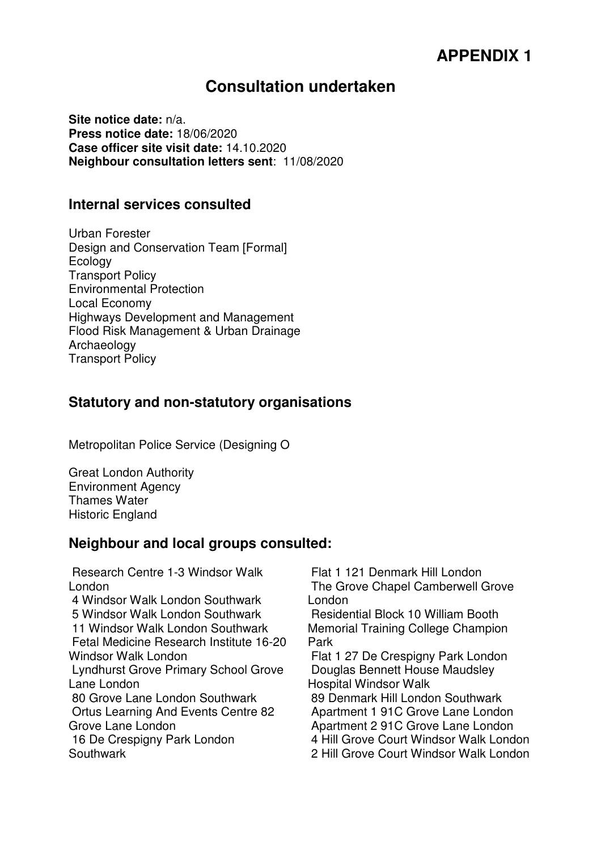# **APPENDIX 1**

## **Consultation undertaken**

**Site notice date:** n/a. **Press notice date:** 18/06/2020 **Case officer site visit date:** 14.10.2020 **Neighbour consultation letters sent**: 11/08/2020

#### **Internal services consulted**

Urban Forester Design and Conservation Team [Formal] Ecology Transport Policy Environmental Protection Local Economy Highways Development and Management Flood Risk Management & Urban Drainage Archaeology Transport Policy

#### **Statutory and non-statutory organisations**

Metropolitan Police Service (Designing O

Great London Authority Environment Agency Thames Water Historic England

### **Neighbour and local groups consulted:**

 Research Centre 1-3 Windsor Walk London 4 Windsor Walk London Southwark 5 Windsor Walk London Southwark 11 Windsor Walk London Southwark Fetal Medicine Research Institute 16-20 Windsor Walk London Lyndhurst Grove Primary School Grove Lane London 80 Grove Lane London Southwark Ortus Learning And Events Centre 82 Grove Lane London 16 De Crespigny Park London Southwark

 Flat 1 121 Denmark Hill London The Grove Chapel Camberwell Grove London

 Residential Block 10 William Booth Memorial Training College Champion Park

 Flat 1 27 De Crespigny Park London Douglas Bennett House Maudsley Hospital Windsor Walk 89 Denmark Hill London Southwark

Apartment 1 91C Grove Lane London

Apartment 2 91C Grove Lane London

4 Hill Grove Court Windsor Walk London

2 Hill Grove Court Windsor Walk London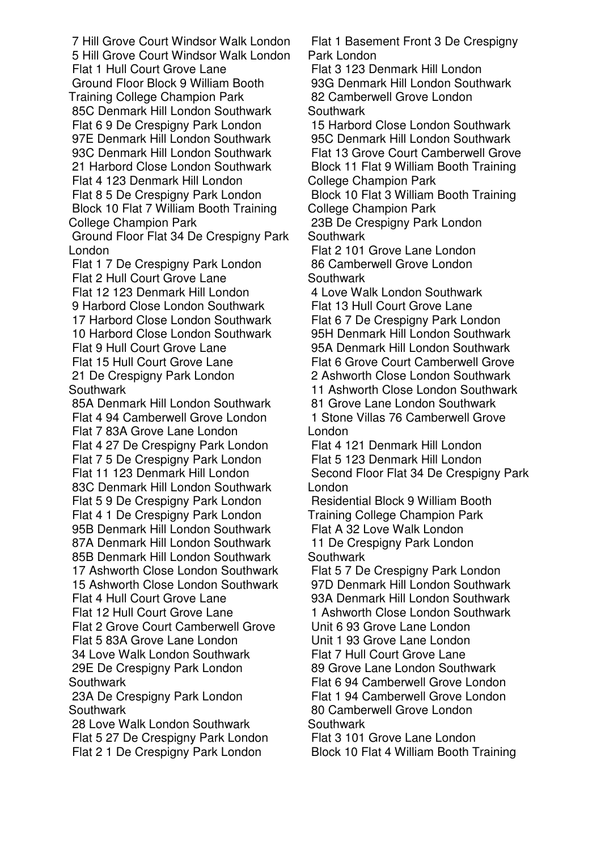7 Hill Grove Court Windsor Walk London 5 Hill Grove Court Windsor Walk London Flat 1 Hull Court Grove Lane Ground Floor Block 9 William Booth Training College Champion Park 85C Denmark Hill London Southwark Flat 6 9 De Crespigny Park London 97E Denmark Hill London Southwark 93C Denmark Hill London Southwark 21 Harbord Close London Southwark Flat 4 123 Denmark Hill London Flat 8 5 De Crespigny Park London Block 10 Flat 7 William Booth Training College Champion Park

 Ground Floor Flat 34 De Crespigny Park London

 Flat 1 7 De Crespigny Park London Flat 2 Hull Court Grove Lane Flat 12 123 Denmark Hill London 9 Harbord Close London Southwark 17 Harbord Close London Southwark 10 Harbord Close London Southwark Flat 9 Hull Court Grove Lane Flat 15 Hull Court Grove Lane 21 De Crespigny Park London **Southwark** 

 85A Denmark Hill London Southwark Flat 4 94 Camberwell Grove London Flat 7 83A Grove Lane London Flat 4 27 De Crespigny Park London Flat 7 5 De Crespigny Park London Flat 11 123 Denmark Hill London 83C Denmark Hill London Southwark Flat 5 9 De Crespigny Park London Flat 4 1 De Crespigny Park London 95B Denmark Hill London Southwark 87A Denmark Hill London Southwark 85B Denmark Hill London Southwark 17 Ashworth Close London Southwark 15 Ashworth Close London Southwark Flat 4 Hull Court Grove Lane Flat 12 Hull Court Grove Lane Flat 2 Grove Court Camberwell Grove Flat 5 83A Grove Lane London 34 Love Walk London Southwark 29E De Crespigny Park London **Southwark**  23A De Crespigny Park London **Southwark** 

 28 Love Walk London Southwark Flat 5 27 De Crespigny Park London Flat 2 1 De Crespigny Park London

 Flat 1 Basement Front 3 De Crespigny Park London

 Flat 3 123 Denmark Hill London 93G Denmark Hill London Southwark 82 Camberwell Grove London **Southwark** 

 15 Harbord Close London Southwark 95C Denmark Hill London Southwark Flat 13 Grove Court Camberwell Grove Block 11 Flat 9 William Booth Training College Champion Park

 Block 10 Flat 3 William Booth Training College Champion Park

 23B De Crespigny Park London **Southwark** 

 Flat 2 101 Grove Lane London 86 Camberwell Grove London **Southwark** 

 4 Love Walk London Southwark Flat 13 Hull Court Grove Lane Flat 6 7 De Crespigny Park London 95H Denmark Hill London Southwark 95A Denmark Hill London Southwark Flat 6 Grove Court Camberwell Grove 2 Ashworth Close London Southwark 11 Ashworth Close London Southwark 81 Grove Lane London Southwark 1 Stone Villas 76 Camberwell Grove London

 Flat 4 121 Denmark Hill London Flat 5 123 Denmark Hill London Second Floor Flat 34 De Crespigny Park London

 Residential Block 9 William Booth Training College Champion Park Flat A 32 Love Walk London 11 De Crespigny Park London **Southwark** 

 Flat 5 7 De Crespigny Park London 97D Denmark Hill London Southwark 93A Denmark Hill London Southwark 1 Ashworth Close London Southwark

 Unit 6 93 Grove Lane London Unit 1 93 Grove Lane London

Flat 7 Hull Court Grove Lane

89 Grove Lane London Southwark

 Flat 6 94 Camberwell Grove London Flat 1 94 Camberwell Grove London 80 Camberwell Grove London **Southwark** 

 Flat 3 101 Grove Lane London Block 10 Flat 4 William Booth Training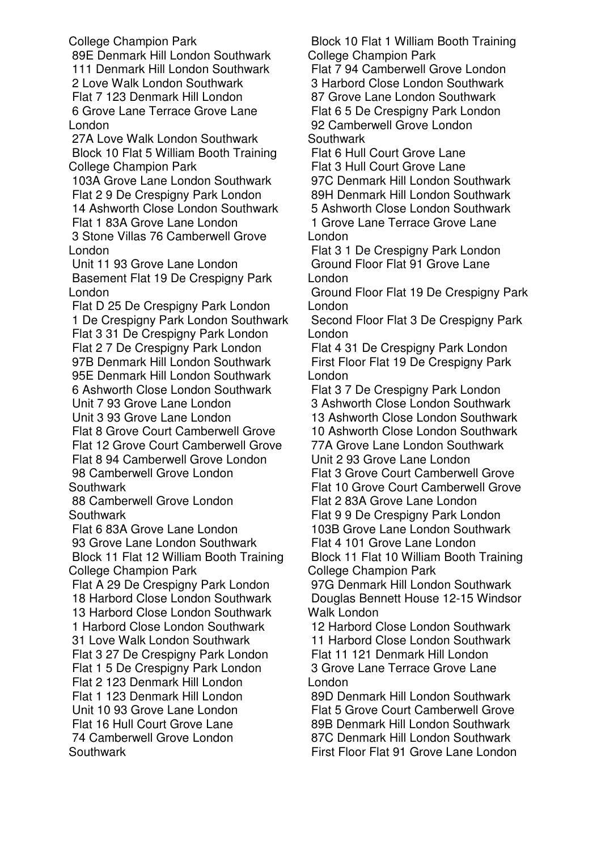College Champion Park

 89E Denmark Hill London Southwark 111 Denmark Hill London Southwark 2 Love Walk London Southwark Flat 7 123 Denmark Hill London 6 Grove Lane Terrace Grove Lane London

 27A Love Walk London Southwark Block 10 Flat 5 William Booth Training College Champion Park

 103A Grove Lane London Southwark Flat 2 9 De Crespigny Park London 14 Ashworth Close London Southwark Flat 1 83A Grove Lane London 3 Stone Villas 76 Camberwell Grove London

 Unit 11 93 Grove Lane London Basement Flat 19 De Crespigny Park London

 Flat D 25 De Crespigny Park London 1 De Crespigny Park London Southwark Flat 3 31 De Crespigny Park London Flat 2 7 De Crespigny Park London 97B Denmark Hill London Southwark 95E Denmark Hill London Southwark 6 Ashworth Close London Southwark Unit 7 93 Grove Lane London Unit 3 93 Grove Lane London Flat 8 Grove Court Camberwell Grove Flat 12 Grove Court Camberwell Grove Flat 8 94 Camberwell Grove London 98 Camberwell Grove London **Southwark** 

 88 Camberwell Grove London **Southwark** 

 Flat 6 83A Grove Lane London 93 Grove Lane London Southwark Block 11 Flat 12 William Booth Training College Champion Park

 Flat A 29 De Crespigny Park London 18 Harbord Close London Southwark 13 Harbord Close London Southwark 1 Harbord Close London Southwark 31 Love Walk London Southwark Flat 3 27 De Crespigny Park London Flat 1 5 De Crespigny Park London Flat 2 123 Denmark Hill London Flat 1 123 Denmark Hill London Unit 10 93 Grove Lane London Flat 16 Hull Court Grove Lane 74 Camberwell Grove London **Southwark** 

 Block 10 Flat 1 William Booth Training College Champion Park

 Flat 7 94 Camberwell Grove London 3 Harbord Close London Southwark 87 Grove Lane London Southwark Flat 6 5 De Crespigny Park London 92 Camberwell Grove London **Southwark** 

 Flat 6 Hull Court Grove Lane Flat 3 Hull Court Grove Lane 97C Denmark Hill London Southwark 89H Denmark Hill London Southwark 5 Ashworth Close London Southwark 1 Grove Lane Terrace Grove Lane London

 Flat 3 1 De Crespigny Park London Ground Floor Flat 91 Grove Lane London

 Ground Floor Flat 19 De Crespigny Park London

 Second Floor Flat 3 De Crespigny Park London

 Flat 4 31 De Crespigny Park London First Floor Flat 19 De Crespigny Park London

 Flat 3 7 De Crespigny Park London 3 Ashworth Close London Southwark 13 Ashworth Close London Southwark 10 Ashworth Close London Southwark 77A Grove Lane London Southwark Unit 2 93 Grove Lane London Flat 3 Grove Court Camberwell Grove Flat 10 Grove Court Camberwell Grove Flat 2 83A Grove Lane London Flat 9 9 De Crespigny Park London 103B Grove Lane London Southwark Flat 4 101 Grove Lane London Block 11 Flat 10 William Booth Training College Champion Park 97G Denmark Hill London Southwark Douglas Bennett House 12-15 Windsor Walk London 12 Harbord Close London Southwark

 11 Harbord Close London Southwark Flat 11 121 Denmark Hill London 3 Grove Lane Terrace Grove Lane London

 89D Denmark Hill London Southwark Flat 5 Grove Court Camberwell Grove 89B Denmark Hill London Southwark 87C Denmark Hill London Southwark First Floor Flat 91 Grove Lane London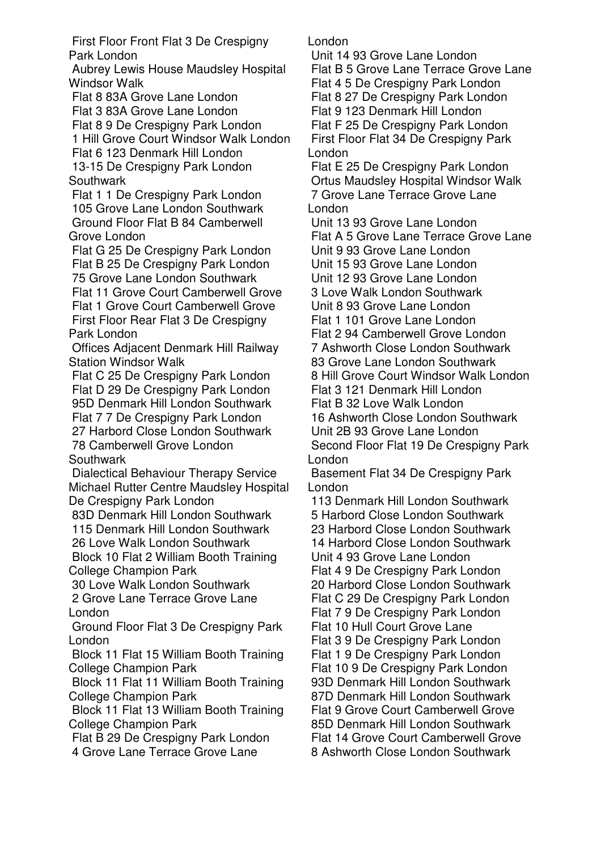First Floor Front Flat 3 De Crespigny Park London

 Aubrey Lewis House Maudsley Hospital Windsor Walk

 Flat 8 83A Grove Lane London Flat 3 83A Grove Lane London Flat 8 9 De Crespigny Park London 1 Hill Grove Court Windsor Walk London Flat 6 123 Denmark Hill London 13-15 De Crespigny Park London **Southwark** 

 Flat 1 1 De Crespigny Park London 105 Grove Lane London Southwark Ground Floor Flat B 84 Camberwell Grove London

 Flat G 25 De Crespigny Park London Flat B 25 De Crespigny Park London 75 Grove Lane London Southwark

 Flat 11 Grove Court Camberwell Grove Flat 1 Grove Court Camberwell Grove First Floor Rear Flat 3 De Crespigny Park London

 Offices Adjacent Denmark Hill Railway Station Windsor Walk

 Flat C 25 De Crespigny Park London Flat D 29 De Crespigny Park London 95D Denmark Hill London Southwark Flat 7 7 De Crespigny Park London

 27 Harbord Close London Southwark 78 Camberwell Grove London **Southwark** 

 Dialectical Behaviour Therapy Service Michael Rutter Centre Maudsley Hospital De Crespigny Park London

 83D Denmark Hill London Southwark 115 Denmark Hill London Southwark

 26 Love Walk London Southwark Block 10 Flat 2 William Booth Training College Champion Park

 30 Love Walk London Southwark 2 Grove Lane Terrace Grove Lane London

 Ground Floor Flat 3 De Crespigny Park London

 Block 11 Flat 15 William Booth Training College Champion Park

 Block 11 Flat 11 William Booth Training College Champion Park

 Block 11 Flat 13 William Booth Training College Champion Park

Flat B 29 De Crespigny Park London

4 Grove Lane Terrace Grove Lane

London

 Unit 14 93 Grove Lane London Flat B 5 Grove Lane Terrace Grove Lane Flat 4 5 De Crespigny Park London Flat 8 27 De Crespigny Park London Flat 9 123 Denmark Hill London Flat F 25 De Crespigny Park London First Floor Flat 34 De Crespigny Park London

 Flat E 25 De Crespigny Park London Ortus Maudsley Hospital Windsor Walk 7 Grove Lane Terrace Grove Lane London

 Unit 13 93 Grove Lane London Flat A 5 Grove Lane Terrace Grove Lane Unit 9 93 Grove Lane London Unit 15 93 Grove Lane London

Unit 12 93 Grove Lane London

3 Love Walk London Southwark

Unit 8 93 Grove Lane London

Flat 1 101 Grove Lane London

 Flat 2 94 Camberwell Grove London 7 Ashworth Close London Southwark

83 Grove Lane London Southwark

8 Hill Grove Court Windsor Walk London

Flat 3 121 Denmark Hill London

Flat B 32 Love Walk London

 16 Ashworth Close London Southwark Unit 2B 93 Grove Lane London Second Floor Flat 19 De Crespigny Park

London

 Basement Flat 34 De Crespigny Park London

 113 Denmark Hill London Southwark 5 Harbord Close London Southwark 23 Harbord Close London Southwark 14 Harbord Close London Southwark Unit 4 93 Grove Lane London Flat 4 9 De Crespigny Park London 20 Harbord Close London Southwark Flat C 29 De Crespigny Park London Flat 7 9 De Crespigny Park London Flat 10 Hull Court Grove Lane Flat 3 9 De Crespigny Park London Flat 1 9 De Crespigny Park London Flat 10 9 De Crespigny Park London 93D Denmark Hill London Southwark 87D Denmark Hill London Southwark Flat 9 Grove Court Camberwell Grove 85D Denmark Hill London Southwark Flat 14 Grove Court Camberwell Grove 8 Ashworth Close London Southwark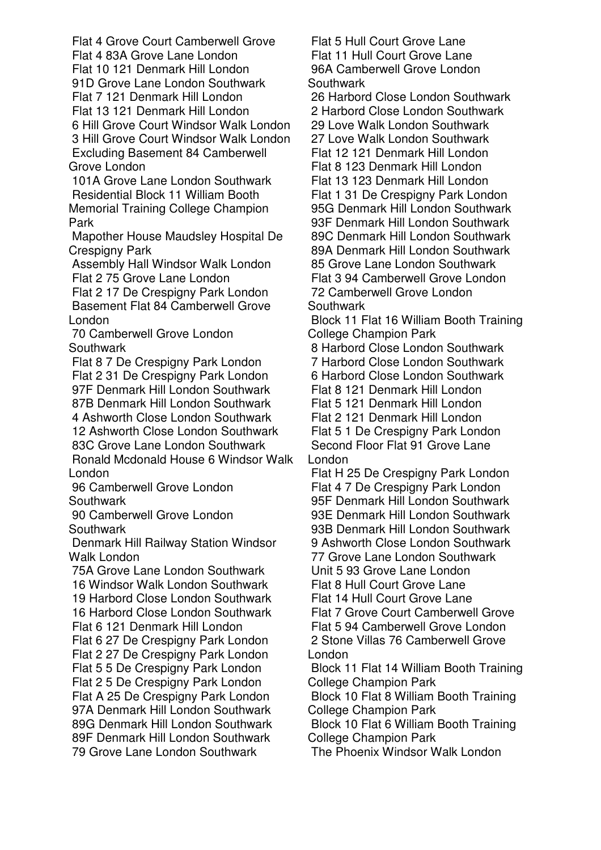Flat 4 Grove Court Camberwell Grove Flat 4 83A Grove Lane London Flat 10 121 Denmark Hill London 91D Grove Lane London Southwark Flat 7 121 Denmark Hill London Flat 13 121 Denmark Hill London 6 Hill Grove Court Windsor Walk London 3 Hill Grove Court Windsor Walk London Excluding Basement 84 Camberwell Grove London

 101A Grove Lane London Southwark Residential Block 11 William Booth Memorial Training College Champion Park

 Mapother House Maudsley Hospital De Crespigny Park

 Assembly Hall Windsor Walk London Flat 2 75 Grove Lane London

 Flat 2 17 De Crespigny Park London Basement Flat 84 Camberwell Grove London

 70 Camberwell Grove London **Southwark** 

 Flat 8 7 De Crespigny Park London Flat 2 31 De Crespigny Park London 97F Denmark Hill London Southwark 87B Denmark Hill London Southwark 4 Ashworth Close London Southwark

 12 Ashworth Close London Southwark 83C Grove Lane London Southwark Ronald Mcdonald House 6 Windsor Walk London

 96 Camberwell Grove London **Southwark** 

 90 Camberwell Grove London Southwark

 Denmark Hill Railway Station Windsor Walk London

 75A Grove Lane London Southwark 16 Windsor Walk London Southwark 19 Harbord Close London Southwark 16 Harbord Close London Southwark Flat 6 121 Denmark Hill London Flat 6 27 De Crespigny Park London Flat 2 27 De Crespigny Park London Flat 5 5 De Crespigny Park London Flat 2 5 De Crespigny Park London Flat A 25 De Crespigny Park London 97A Denmark Hill London Southwark 89G Denmark Hill London Southwark 89F Denmark Hill London Southwark 79 Grove Lane London Southwark

 Flat 5 Hull Court Grove Lane Flat 11 Hull Court Grove Lane 96A Camberwell Grove London **Southwark** 

 26 Harbord Close London Southwark 2 Harbord Close London Southwark 29 Love Walk London Southwark 27 Love Walk London Southwark Flat 12 121 Denmark Hill London Flat 8 123 Denmark Hill London Flat 13 123 Denmark Hill London Flat 1 31 De Crespigny Park London 95G Denmark Hill London Southwark 93F Denmark Hill London Southwark 89C Denmark Hill London Southwark 89A Denmark Hill London Southwark 85 Grove Lane London Southwark Flat 3 94 Camberwell Grove London 72 Camberwell Grove London **Southwark** 

 Block 11 Flat 16 William Booth Training College Champion Park

8 Harbord Close London Southwark

7 Harbord Close London Southwark

6 Harbord Close London Southwark

 Flat 8 121 Denmark Hill London Flat 5 121 Denmark Hill London

Flat 2 121 Denmark Hill London

Flat 5 1 De Crespigny Park London

 Second Floor Flat 91 Grove Lane London

 Flat H 25 De Crespigny Park London Flat 4 7 De Crespigny Park London 95F Denmark Hill London Southwark 93E Denmark Hill London Southwark 93B Denmark Hill London Southwark 9 Ashworth Close London Southwark 77 Grove Lane London Southwark

 Unit 5 93 Grove Lane London Flat 8 Hull Court Grove Lane

Flat 14 Hull Court Grove Lane

 Flat 7 Grove Court Camberwell Grove Flat 5 94 Camberwell Grove London 2 Stone Villas 76 Camberwell Grove

London Block 11 Flat 14 William Booth Training College Champion Park

 Block 10 Flat 8 William Booth Training College Champion Park

 Block 10 Flat 6 William Booth Training College Champion Park

The Phoenix Windsor Walk London